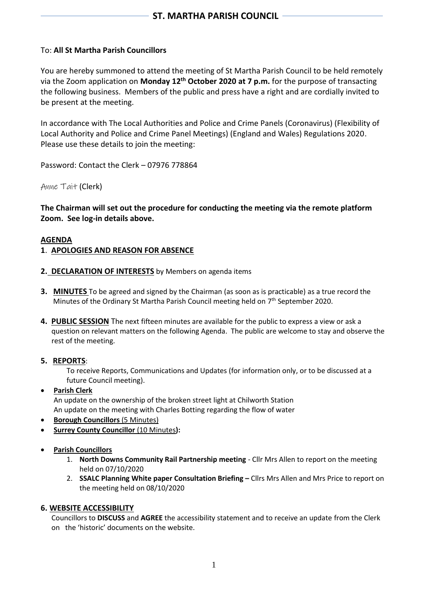## To: **All St Martha Parish Councillors**

You are hereby summoned to attend the meeting of St Martha Parish Council to be held remotely via the Zoom application on **Monday 12 th October 2020 at 7 p.m.** for the purpose of transacting the following business. Members of the public and press have a right and are cordially invited to be present at the meeting.

In accordance with The Local Authorities and Police and Crime Panels (Coronavirus) (Flexibility of Local Authority and Police and Crime Panel Meetings) (England and Wales) Regulations 2020. Please use these details to join the meeting:

Password: Contact the Clerk – 07976 778864

Anne Tait (Clerk)

**The Chairman will set out the procedure for conducting the meeting via the remote platform Zoom. See log-in details above.**

#### **AGENDA**

#### **1**. **APOLOGIES AND REASON FOR ABSENCE**

- **2. DECLARATION OF INTERESTS** by Members on agenda items
- **3. MINUTES** To be agreed and signed by the Chairman (as soon as is practicable) as a true record the Minutes of the Ordinary St Martha Parish Council meeting held on  $7<sup>th</sup>$  September 2020.
- **4. PUBLIC SESSION** The next fifteen minutes are available for the public to express a view or ask a question on relevant matters on the following Agenda. The public are welcome to stay and observe the rest of the meeting.
- **5. REPORTS**:

To receive Reports, Communications and Updates (for information only, or to be discussed at a future Council meeting).

- **Parish Clerk** An update on the ownership of the broken street light at Chilworth Station An update on the meeting with Charles Botting regarding the flow of water
- **Borough Councillors** (5 Minutes)
- **Surrey County Councillor** (10 Minutes**):**
- **Parish Councillors**
	- 1. **North Downs Community Rail Partnership meeting** Cllr Mrs Allen to report on the meeting held on 07/10/2020
	- 2. **SSALC Planning White paper Consultation Briefing –** Cllrs Mrs Allen and Mrs Price to report on the meeting held on 08/10/2020

#### **6. WEBSITE ACCESSIBILITY**

 Councillors to **DISCUSS** and **AGREE** the accessibility statement and to receive an update from the Clerk on the 'historic' documents on the website.